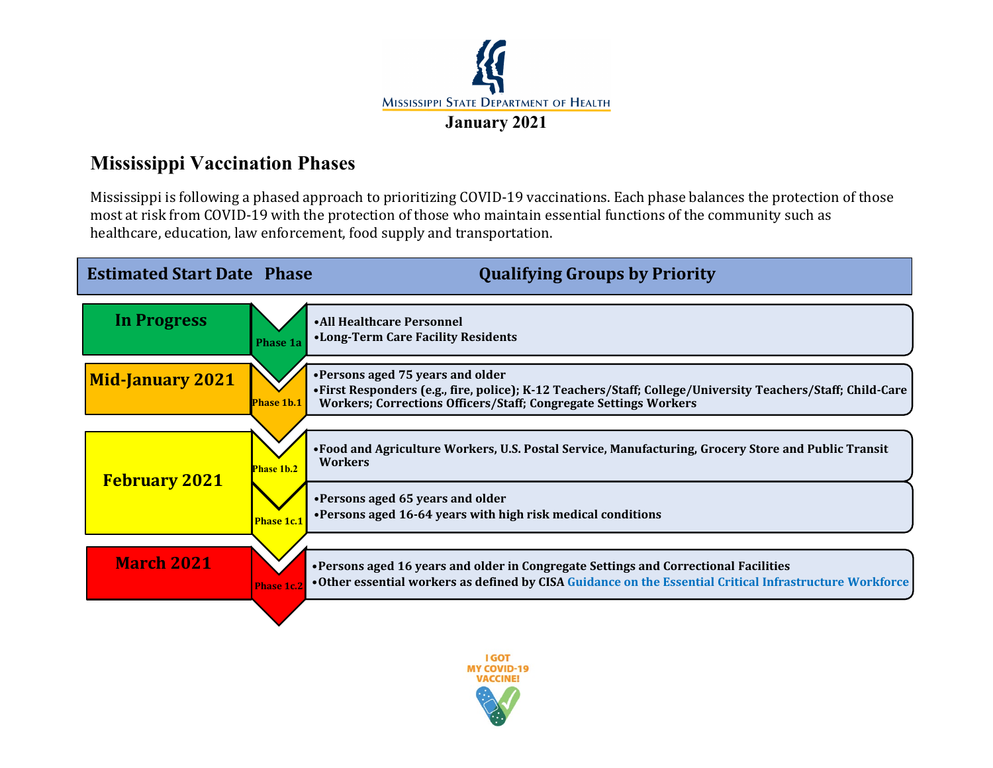

## **Mississippi Vaccination Phases**

Mississippi is following a phased approach to prioritizing COVID-19 vaccinations. Each phase balances the protection of those most at risk from COVID-19 with the protection of those who maintain essential functions of the community such as healthcare, education, law enforcement, food supply and transportation.